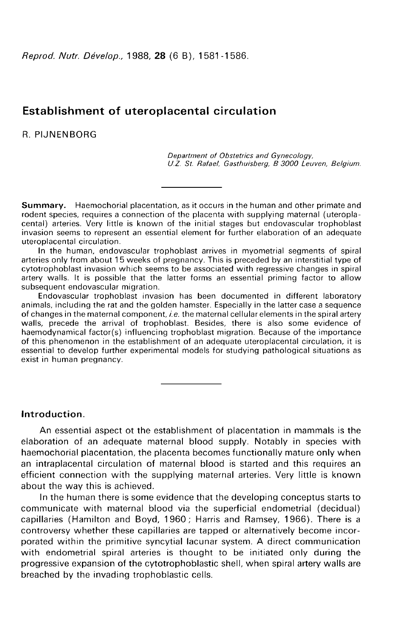# Establishment of uteroplacental circulation

R. PIJNENBORG

Department of Obstetrics and Gynecology,<br>U.Z. St. Rafael, Gasthuisberg, B 3000 Leuven, Belgium.

Summary. Haemochorial placentation, as it occurs in the human and other primate and rodent species, requires a connection of the placenta with supplying maternal (uteroplacental) arteries. Very little is known of the initial stages but endovascular trophoblast invasion seems to represent an essential element for further elaboration of an adequate uteroplacental circulation.

In the human, endovascular trophoblast arrives in myometrial segments of spiral arteries only from about 15 weeks of pregnancy. This is preceded by an interstitial type of cytotrophoblast invasion which seems to be associated with regressive changes in spiral artery walls. It is possible that the latter forms an essential priming factor to allow subsequent endovascular migration.

Endovascular trophoblast invasion has been documented in different laboratory animals, including the rat and the golden hamster. Especially in the latter case a sequence of changes in the maternal component, *i.e.* the maternal cellular elements in the spiral artery walls, precede the arrival of trophoblast. Besides, there is also some evidence of haemodynamical factor(s) influencing trophoblast migration. Because of the importance of this phenomenon in the establishment of an adequate uteroplacental circulation, it is essential to develop further experimental models for studying pathological situations as exist in human pregnancy.

## Introduction.

An essential aspect ot the establishment of placentation in mammals is the elaboration of an adequate maternal blood supply. Notably in species with haemochorial placentation, the placenta becomes functionally mature only when an intraplacental circulation of maternal blood is started and this requires an efficient connection with the supplying maternal arteries. Very little is known about the way this is achieved.

In the human there is some evidence that the developing conceptus starts to communicate with maternal blood via the superficial endometrial (decidual) capillaries (Hamilton and Boyd, 1960; Harris and Ramsey, 1966). There is a controversy whether these capillaries are tapped or alternatively become incorporated within the primitive syncytial lacunar system. A direct communication with endometrial spiral arteries is thought to be initiated only during the progressive expansion of the cytotrophoblastic shell, when spiral artery walls are breached by the invading trophoblastic cells.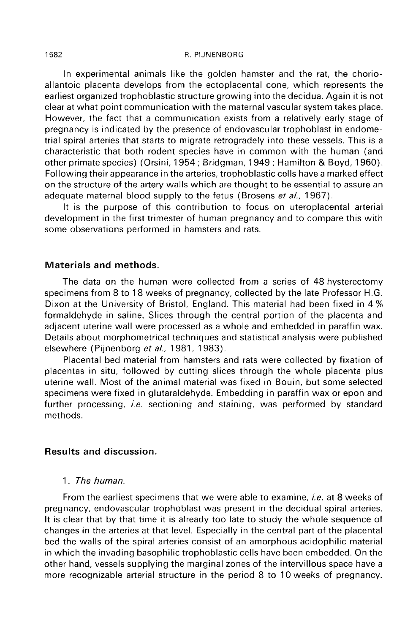#### R. PIJNENBORG

In experimental animals like the golden hamster and the rat, the chorioallantoic placenta develops from the ectoplacental cone, which represents the earliest organized trophoblastic structure growing into the decidua. Again it is not clear at what point communication with the maternal vascular system takes place. However, the fact that a communication exists from a relatively early stage of pregnancy is indicated by the presence of endovascular trophoblast in endometrial spiral arteries that starts to migrate retrogradely into these vessels. This is a characteristic that both rodent species have in common with the human (and other primate species) (Orsini, 1954 ; Bridgman, 1949 ; Hamilton & Boyd, 1960). Following their appearance in the arteries, trophoblastic cells have a marked effect on the structure of the artery walls which are thought to be essential to assure an adequate maternal blood supply to the fetus (Brosens et al., 1967).

It is the purpose of this contribution to focus on uteroplacental arterial development in the first trimester of human pregnancy and to compare this with some observations performed in hamsters and rats.

#### Materials and methods.

The data on the human were collected from a series of 48 hysterectomy specimens from 8 to 18 weeks of pregnancy, collected by the late Professor H.G. Dixon at the University of Bristol, England. This material had been fixed in 4 % formaldehyde in saline. Slices through the central portion of the placenta and adjacent uterine wall were processed as a whole and embedded in paraffin wax. Details about morphometrical techniques and statistical analysis were published elsewhere (Pijnenborg *et al.,* 1981, 1983).

Placental bed material from hamsters and rats were collected by fixation of placentas in situ, followed by cutting slices through the whole placenta plus uterine wall. Most of the animal material was fixed in Bouin, but some selected specimens were fixed in glutaraldehyde. Embedding in paraffin wax or epon and further processing, *i.e.* sectioning and staining, was performed by standard methods.

# Results and discussion.

## 1. The human.

From the earliest specimens that we were able to examine, *i.e.* at 8 weeks of pregnancy, endovascular trophoblast was present in the decidual spiral arteries. It is clear that by that time it is already too late to study the whole sequence of changes in the arteries at that level. Especially in the central part of the placental bed the walls of the spiral arteries consist of an amorphous acidophilic material in which the invading basophilic trophoblastic cells have been embedded. On the other hand, vessels supplying the marginal zones of the intervillous space have a more recognizable arterial structure in the period 8 to 10 weeks of pregnancy.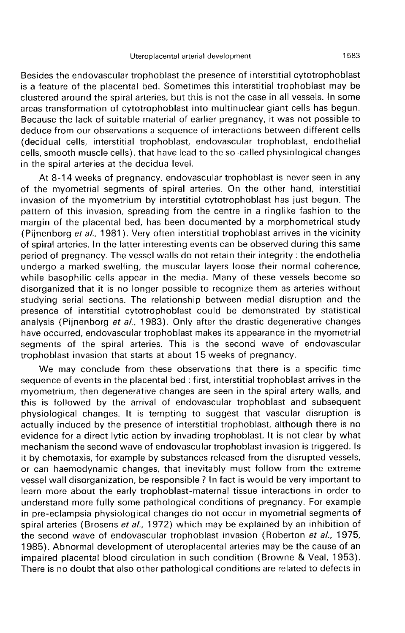Besides the endovascular trophoblast the presence of interstitial cytotrophoblast is a feature of the placental bed. Sometimes this interstitial trophoblast may be clustered around the spiral arteries, but this is not the case in all vessels. In some areas transformation of cytotrophoblast into multinuclear giant cells has begun. Because the lack of suitable material of earlier pregnancy, it was not possible to deduce from our observations a sequence of interactions between different cells (decidual cells, interstitial trophoblast, endovascular trophoblast, endothelial cells, smooth muscle cells), that have lead to the so-called physiological changes in the spiral arteries at the decidua level.

At 8-14 weeks of pregnancy, endovascular trophoblast is never seen in any of the myometrial segments of spiral arteries. On the other hand, interstitial invasion of the myometrium by interstitial cytotrophoblast has just begun. The pattern of this invasion, spreading from the centre in a ringlike fashion to the margin of the placental bed, has been documented by a morphometrical study (Pijnenborg et al., 1981). Very often interstitial trophoblast arrives in the vicinity of spiral arteries. In the latter interesting events can be observed during this same period of pregnancy. The vessel walls do not retain their integrity : the endothelia undergo a marked swelling, the muscular layers loose their normal coherence, while basophilic cells appear in the media. Many of these vessels become so disorganized that it is no longer possible to recognize them as arteries without studying serial sections. The relationship between medial disruption and the presence of interstitial cytotrophoblast could be demonstrated by statistical analysis (Pijnenborg *et al.*, 1983). Only after the drastic degenerative changes have occurred, endovascular trophoblast makes its appearance in the myometrial segments of the spiral arteries. This is the second wave of endovascular trophoblast invasion that starts at about 15 weeks of pregnancy.

We may conclude from these observations that there is a specific time sequence of events in the placental bed : first, interstitial trophoblast arrives in the myometrium, then degenerative changes are seen in the spiral artery walls, and this is followed by the arrival of endovascular trophoblast and subsequent physiological changes. It is tempting to suggest that vascular disruption is actually induced by the presence of interstitial trophoblast, although there is no evidence for a direct lytic action by invading trophoblast. It is not clear by what mechanism the second wave of endovascular trophoblast invasion is triggered. Is it by chemotaxis, for example by substances released from the disrupted vessels, or can haemodynamic changes, that inevitably must follow from the extreme vessel wall disorganization, be responsible ? In fact is would be very important to learn more about the early trophoblast-maternal tissue interactions in order to understand more fully some pathological conditions of pregnancy. For example in pre-eclampsia physiological changes do not occur in myometrial segments of spiral arteries (Brosens et al., 1972) which may be explained by an inhibition of the second wave of endovascular trophoblast invasion (Roberton et al., 1975, 1985). Abnormal development of uteroplacental arteries may be the cause of an impaired placental blood circulation in such condition (Browne & Veal, 1953). There is no doubt that also other pathological conditions are related to defects in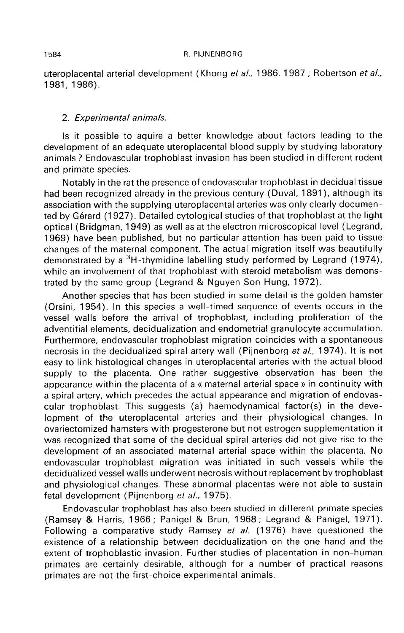uteroplacental arterial development (Khong et al., 1986, 1987; Robertson et al., 1981, 1986).

# 2. Experimental animals.

Is it possible to aquire a better knowledge about factors leading to the development of an adequate uteroplacental blood supply by studying laboratory animals ? Endovascular trophoblast invasion has been studied in different rodent and primate species.

Notably in the rat the presence of endovascular trophoblast in decidual tissue had been recognized already in the previous century (Duval, 1891 ), although its association with the supplying uteroplacental arteries was only clearly documented by Gérard (1927). Detailed cytological studies of that trophoblast at the light optical (Bridgman, 1949) as well as at the electron microscopical level (Legrand, 1969) have been published, but no particular attention has been paid to tissue changes of the maternal component. The actual migration itself was beautifully demonstrated by a <sup>3</sup>H-thymidine labelling study performed by Legrand (1974), while an involvement of that trophoblast with steroid metabolism was demonstrated by the same group (Legrand & Nguyen Son Hung, 1972).

Another species that has been studied in some detail is the golden hamster (Orsini, 1954). In this species a well-timed sequence of events occurs in the vessel walls before the arrival of trophoblast, including proliferation of the adventitial elements, decidualization and endometrial granulocyte accumulation. Furthermore, endovascular trophoblast migration coincides with a spontaneous necrosis in the decidualized spiral artery wall (Pijnenborg et al., 1974). It is not easy to link histological changes in uteroplacental arteries with the actual blood supply to the placenta. One rather suggestive observation has been the appearance within the placenta of a « maternal arterial space » in continuity with a spiral artery, which precedes the actual appearance and migration of endovascular trophoblast. This suggests (a) haemodynamical factor(s) in the development of the uteroplacental arteries and their physiological changes. In ovariectomized hamsters with progesterone but not estrogen supplementation it was recognized that some of the decidual spiral arteries did not give rise to the development of an associated maternal arterial space within the placenta. No endovascular trophoblast migration was initiated in such vessels while the decidualized vessel walls underwent necrosis without replacement by trophoblast and physiological changes. These abnormal placentas were not able to sustain fetal development (Pijnenborg et al., 1975).

Endovascular trophoblast has also been studied in different primate species (Ramsey & Harris, 1966 ; Panigel & Brun, 1968; Legrand & Panigel, 1971 ). Following a comparative study Ramsey *et al.* (1976) have questioned the existence of a relationship between decidualization on the one hand and the extent of trophoblastic invasion. Further studies of placentation in non-human primates are certainly desirable, although for a number of practical reasons primates are not the first-choice experimental animals.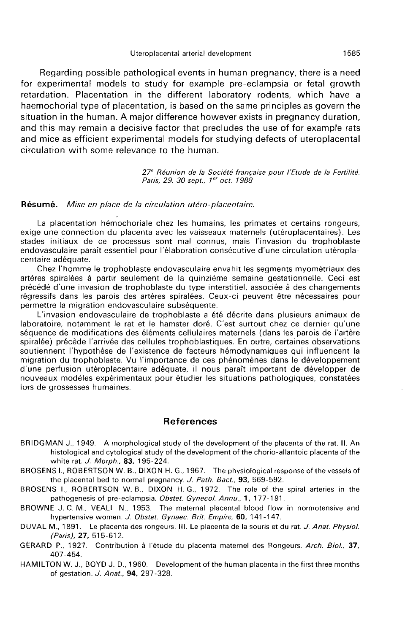Regarding possible pathological events in human pregnancy, there is a need for experimental models to study for example pre-eclampsia or fetal growth retardation. Placentation in the different laboratory rodents, which have a haemochorial type of placentation, is based on the same principles as govern the situation in the human. A major difference however exists in pregnancy duration, and this may remain a decisive factor that precludes the use of for example rats and mice as efficient experimental models for studying defects of uteroplacental circulation with some relevance to the human.

> 27<sup>e</sup> Réunion de la Société française pour l'Etude de la Fertilité. Paris, 29, 30 sept., 1er oct. 1988

#### Résumé. Mise en place de la circulation utéro-placentaire.

La placentation hémochoriale chez les humains, les primates et certains rongeurs, exige une connection du placenta avec les vaisseaux maternels (utéroplacentaires). Les stades initiaux de ce processus sont mal connus, mais l'invasion du trophoblaste endovasculaire paraît essentiel pour l'élaboration consécutive d'une circulation utéroplacentaire adéquate.

Chez l'homme le trophoblaste endovasculaire envahit les segments myométriaux des artères spiralées à partir seulement de la quinzième semaine gestationnelle. Ceci est précédé d'une invasion de trophoblaste du type interstitiel, associée à des changements régressifs dans les parois des artères spiralées. Ceux-ci peuvent être nécessaires pour permettre la migration endovasculaire subséquente.

L'invasion endovasculaire de trophoblaste a été décrite dans plusieurs animaux de laboratoire, notamment le rat et le hamster doré. C'est surtout chez ce dernier qu'une séquence de modifications des éléments cellulaires maternels (dans les parois de l'artère spiralée) précède l'arrivée des cellules trophoblastiques. En outre, certaines observations soutiennent l'hypothèse de l'existence de facteurs hémodynamiques qui influencent la migration du trophoblaste. Vu l'importance de ces phénomènes dans le développement d'une perfusion utéroplacentaire adéquate, il nous paraît important de développer de nouveaux modèles expérimentaux pour étudier les situations pathologiques, constatées lors de grossesses humaines.

#### References

- BRIDGMAN J., 1949. A morphological study of the development of the placenta of the rat. II. An histological and cytological study of the development of the chorio-allantoic placenta of the white rat. J. Morph., 83, 195-224.
- BROSENS I., ROBERTSON W. B., DIXON H. G., 1967. The physiological response of the vessels of the placental bed to normal pregnancy. J. Path. Bact., 93, 569-592.
- BROSENS I., ROBERTSON W. B., DIXON H. G., 1972. The role of the spiral arteries in the pathogenesis of pre-eclampsia. Obstet. Gynecol. Annu., 1, 177-191.
- BROWNE J. C. M., VEALL N., 1953. The maternal placental blood flow in normotensive and hypertensive women. J. Obstet. Gynaec. Brit. Empire, 60, 141-147.
- DUVAL M., 1891. Le placenta des rongeurs. III. Le placenta de la souris et du rat. J. Anat. Physiol. (Paris), 27, 515-612.
- GÉRARD P., 1927. Contribution à l'étude du placenta maternel des Rongeurs. Arch. Biol., 37, 407-454.
- HAMILTON W. J., BOYD J. D., 1960. Development of the human placenta in the first three months of gestation. J. Anat., 94, 297-328.